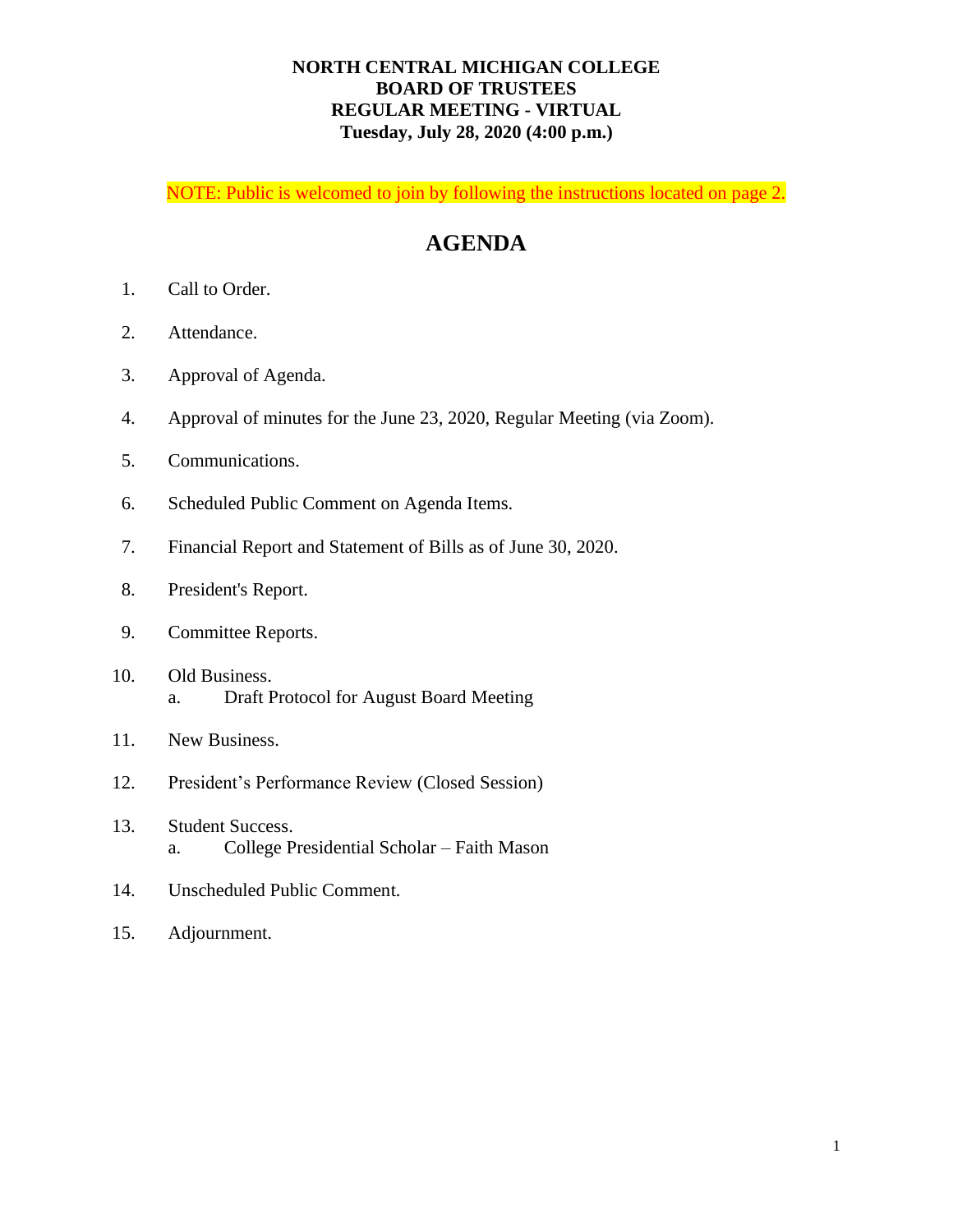## **NORTH CENTRAL MICHIGAN COLLEGE BOARD OF TRUSTEES REGULAR MEETING - VIRTUAL Tuesday, July 28, 2020 (4:00 p.m.)**

NOTE: Public is welcomed to join by following the instructions located on page 2.

## **AGENDA**

- 1. Call to Order.
- 2. Attendance.
- 3. Approval of Agenda.
- 4. Approval of minutes for the June 23, 2020, Regular Meeting (via Zoom).
- 5. Communications.
- 6. Scheduled Public Comment on Agenda Items.
- 7. Financial Report and Statement of Bills as of June 30, 2020.
- 8. President's Report.
- 9. Committee Reports.
- 10. Old Business. a. Draft Protocol for August Board Meeting
- 11. New Business.
- 12. President's Performance Review (Closed Session)
- 13. Student Success. a. College Presidential Scholar – Faith Mason
- 14. Unscheduled Public Comment.
- 15. Adjournment.